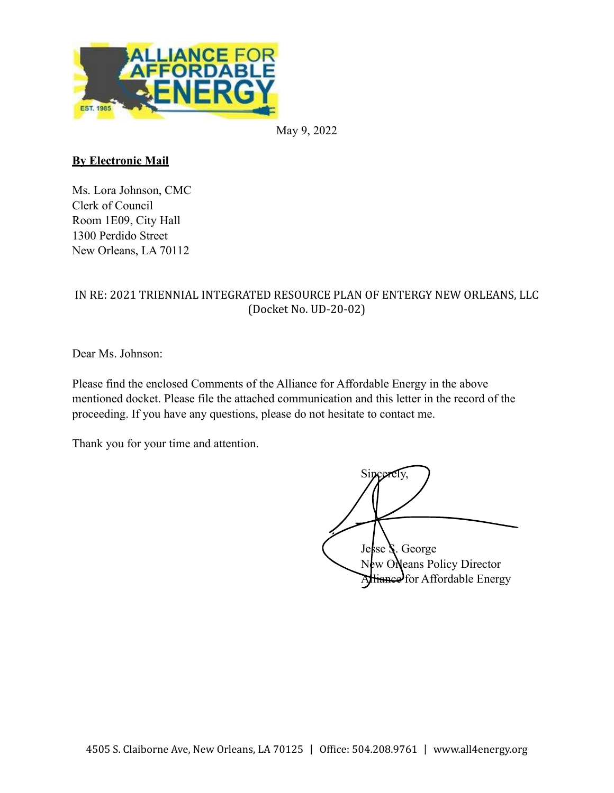

May 9, 2022

# **By Electronic Mail**

Ms. Lora Johnson, CMC Clerk of Council Room 1E09, City Hall 1300 Perdido Street New Orleans, LA 70112

# IN RE: 2021 TRIENNIAL INTEGRATED RESOURCE PLAN OF ENTERGY NEW ORLEANS, LLC (Docket No. UD-20-02)

Dear Ms. Johnson:

Please find the enclosed Comments of the Alliance for Affordable Energy in the above mentioned docket. Please file the attached communication and this letter in the record of the proceeding. If you have any questions, please do not hesitate to contact me.

Thank you for your time and attention.

Sincerely, Jesse S. George New Orleans Policy Director Alliance for Affordable Energy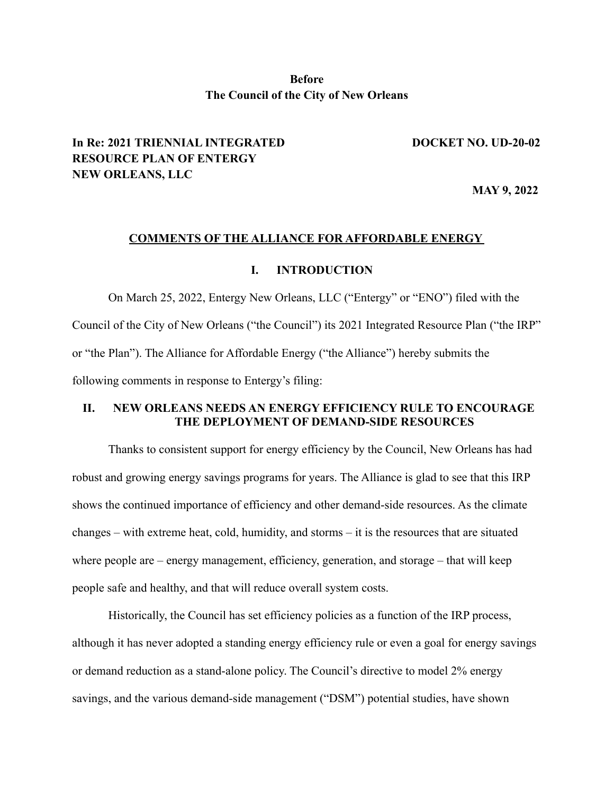## **Before The Council of the City of New Orleans**

# **In Re: 2021 TRIENNIAL INTEGRATED DOCKET NO. UD-20-02 RESOURCE PLAN OF ENTERGY NEW ORLEANS, LLC**

**MAY 9, 2022**

#### **COMMENTS OF THE ALLIANCE FOR AFFORDABLE ENERGY**

#### **I. INTRODUCTION**

On March 25, 2022, Entergy New Orleans, LLC ("Entergy" or "ENO") filed with the Council of the City of New Orleans ("the Council") its 2021 Integrated Resource Plan ("the IRP" or "the Plan"). The Alliance for Affordable Energy ("the Alliance") hereby submits the following comments in response to Entergy's filing:

## **II. NEW ORLEANS NEEDS AN ENERGY EFFICIENCY RULE TO ENCOURAGE THE DEPLOYMENT OF DEMAND-SIDE RESOURCES**

Thanks to consistent support for energy efficiency by the Council, New Orleans has had robust and growing energy savings programs for years. The Alliance is glad to see that this IRP shows the continued importance of efficiency and other demand-side resources. As the climate changes – with extreme heat, cold, humidity, and storms – it is the resources that are situated where people are – energy management, efficiency, generation, and storage – that will keep people safe and healthy, and that will reduce overall system costs.

Historically, the Council has set efficiency policies as a function of the IRP process, although it has never adopted a standing energy efficiency rule or even a goal for energy savings or demand reduction as a stand-alone policy. The Council's directive to model 2% energy savings, and the various demand-side management ("DSM") potential studies, have shown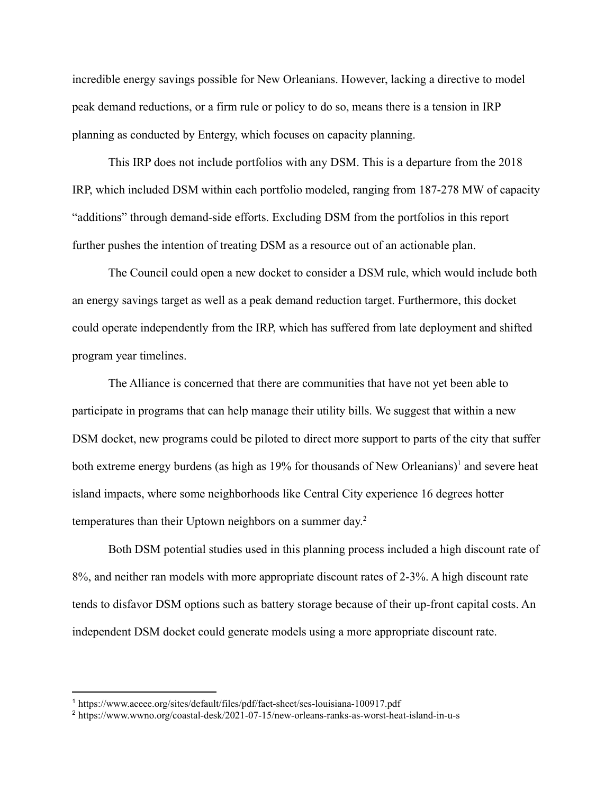incredible energy savings possible for New Orleanians. However, lacking a directive to model peak demand reductions, or a firm rule or policy to do so, means there is a tension in IRP planning as conducted by Entergy, which focuses on capacity planning.

This IRP does not include portfolios with any DSM. This is a departure from the 2018 IRP, which included DSM within each portfolio modeled, ranging from 187-278 MW of capacity "additions" through demand-side efforts. Excluding DSM from the portfolios in this report further pushes the intention of treating DSM as a resource out of an actionable plan.

The Council could open a new docket to consider a DSM rule, which would include both an energy savings target as well as a peak demand reduction target. Furthermore, this docket could operate independently from the IRP, which has suffered from late deployment and shifted program year timelines.

The Alliance is concerned that there are communities that have not yet been able to participate in programs that can help manage their utility bills. We suggest that within a new DSM docket, new programs could be piloted to direct more support to parts of the city that suffer both extreme energy burdens (as high as  $19\%$  for thousands of New Orleanians)<sup>1</sup> and severe heat island impacts, where some neighborhoods like Central City experience 16 degrees hotter temperatures than their Uptown neighbors on a summer day. 2

Both DSM potential studies used in this planning process included a high discount rate of 8%, and neither ran models with more appropriate discount rates of 2-3%. A high discount rate tends to disfavor DSM options such as battery storage because of their up-front capital costs. An independent DSM docket could generate models using a more appropriate discount rate.

<sup>1</sup> https://www.aceee.org/sites/default/files/pdf/fact-sheet/ses-louisiana-100917.pdf

<sup>2</sup> https://www.wwno.org/coastal-desk/2021-07-15/new-orleans-ranks-as-worst-heat-island-in-u-s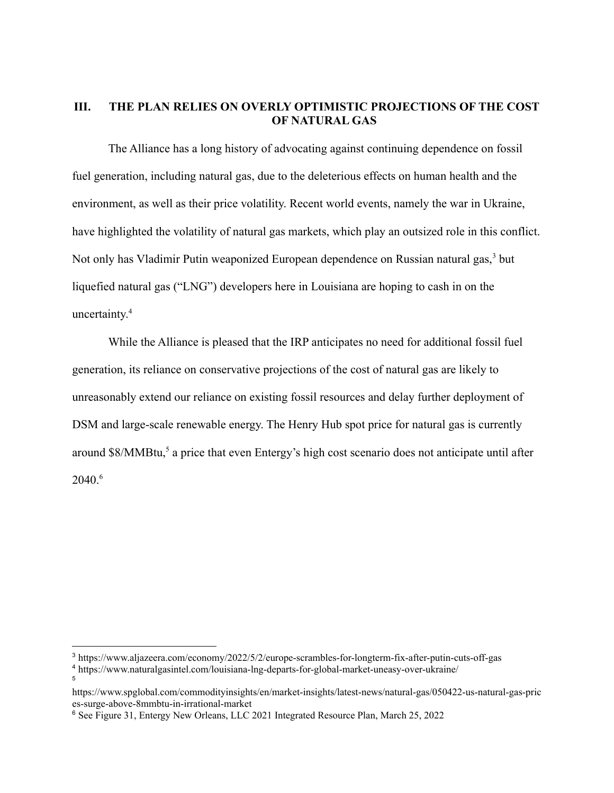## **III. THE PLAN RELIES ON OVERLY OPTIMISTIC PROJECTIONS OF THE COST OF NATURAL GAS**

The Alliance has a long history of advocating against continuing dependence on fossil fuel generation, including natural gas, due to the deleterious effects on human health and the environment, as well as their price volatility. Recent world events, namely the war in Ukraine, have highlighted the volatility of natural gas markets, which play an outsized role in this conflict. Not only has Vladimir Putin weaponized European dependence on Russian natural gas,<sup>3</sup> but liquefied natural gas ("LNG") developers here in Louisiana are hoping to cash in on the uncertainty. 4

While the Alliance is pleased that the IRP anticipates no need for additional fossil fuel generation, its reliance on conservative projections of the cost of natural gas are likely to unreasonably extend our reliance on existing fossil resources and delay further deployment of DSM and large-scale renewable energy. The Henry Hub spot price for natural gas is currently around \$8/MMBtu,<sup>5</sup> a price that even Entergy's high cost scenario does not anticipate until after 2040.6

5

<sup>3</sup> https://www.aljazeera.com/economy/2022/5/2/europe-scrambles-for-longterm-fix-after-putin-cuts-off-gas

<sup>4</sup> https://www.naturalgasintel.com/louisiana-lng-departs-for-global-market-uneasy-over-ukraine/

https://www.spglobal.com/commodityinsights/en/market-insights/latest-news/natural-gas/050422-us-natural-gas-pric es-surge-above-8mmbtu-in-irrational-market

<sup>6</sup> See Figure 31, Entergy New Orleans, LLC 2021 Integrated Resource Plan, March 25, 2022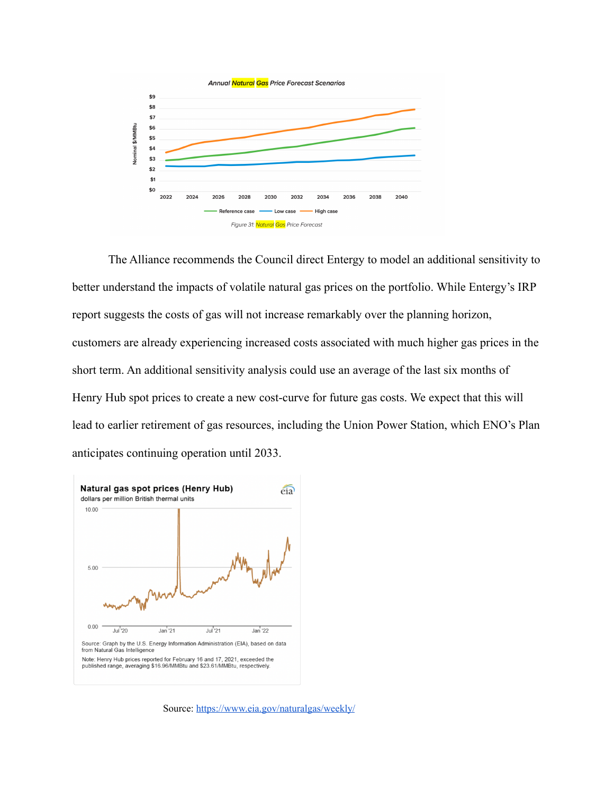

The Alliance recommends the Council direct Entergy to model an additional sensitivity to better understand the impacts of volatile natural gas prices on the portfolio. While Entergy's IRP report suggests the costs of gas will not increase remarkably over the planning horizon, customers are already experiencing increased costs associated with much higher gas prices in the short term. An additional sensitivity analysis could use an average of the last six months of Henry Hub spot prices to create a new cost-curve for future gas costs. We expect that this will lead to earlier retirement of gas resources, including the Union Power Station, which ENO's Plan anticipates continuing operation until 2033.



Source: https://www.eia.gov/naturalgas/weekly/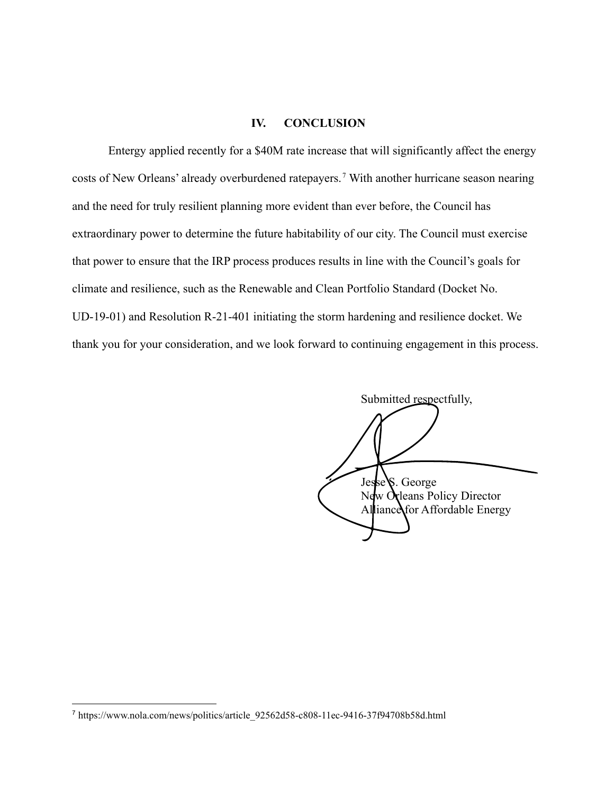### **IV. CONCLUSION**

Entergy applied recently for a \$40M rate increase that will significantly affect the energy costs of New Orleans' already overburdened ratepayers.<sup>7</sup> With another hurricane season nearing and the need for truly resilient planning more evident than ever before, the Council has extraordinary power to determine the future habitability of our city. The Council must exercise that power to ensure that the IRP process produces results in line with the Council's goals for climate and resilience, such as the Renewable and Clean Portfolio Standard (Docket No. UD-19-01) and Resolution R-21-401 initiating the storm hardening and resilience docket. We thank you for your consideration, and we look forward to continuing engagement in this process.

Submitted respectfully, Jesse<sup>S</sup>. George New Orleans Policy Director Alliance for Affordable Energy

<sup>7</sup> https://www.nola.com/news/politics/article\_92562d58-c808-11ec-9416-37f94708b58d.html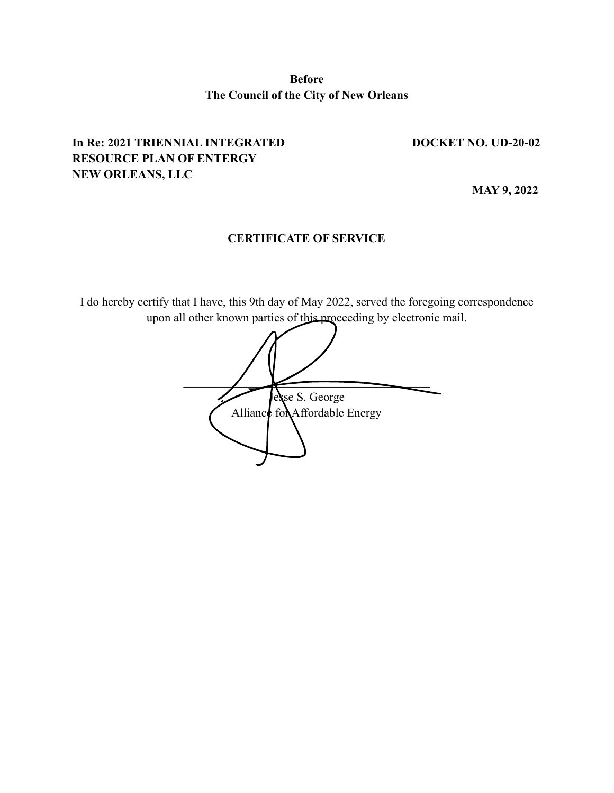**Before The Council of the City of New Orleans**

# **In Re: 2021 TRIENNIAL INTEGRATED DOCKET NO. UD-20-02 RESOURCE PLAN OF ENTERGY NEW ORLEANS, LLC**

**MAY 9, 2022**

# **CERTIFICATE OF SERVICE**

I do hereby certify that I have, this 9th day of May 2022, served the foregoing correspondence upon all other known parties of this proceeding by electronic mail.

 $\overline{\phantom{a}}$ lesse S. George Alliance for Affordable Energy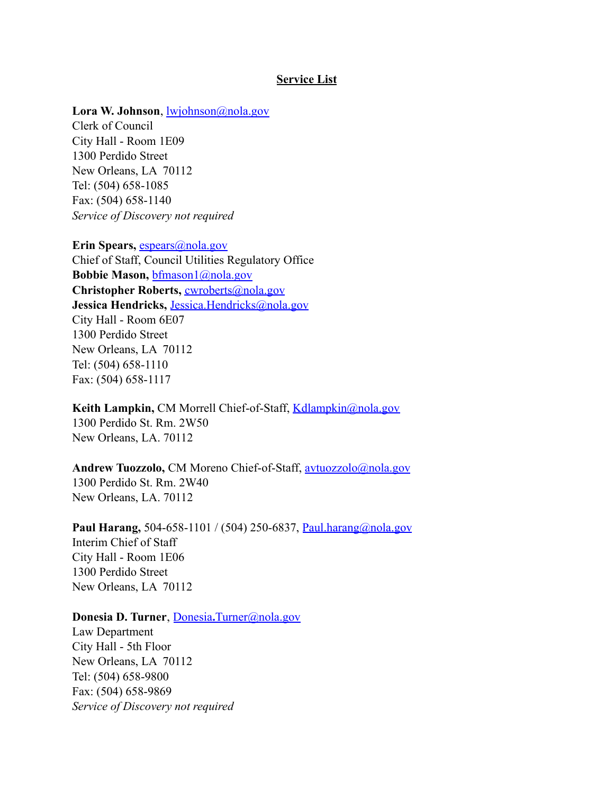#### **Service List**

#### **Lora W. Johnson**, lwjohnson@nola.gov

Clerk of Council City Hall - Room 1E09 1300 Perdido Street New Orleans, LA 70112 Tel: (504) 658-1085 Fax: (504) 658-1140 *Service of Discovery not required*

**Erin Spears,** espears@nola.gov Chief of Staff, Council Utilities Regulatory Office **Bobbie Mason,** bfmason1@nola.gov **Christopher Roberts,** cwroberts@nola.gov **Jessica Hendricks,** Jessica.Hendricks@nola.gov City Hall - Room 6E07 1300 Perdido Street New Orleans, LA 70112 Tel: (504) 658-1110 Fax: (504) 658-1117

**Keith Lampkin, CM Morrell Chief-of-Staff, Kdlampkin@nola.gov** 1300 Perdido St. Rm. 2W50 New Orleans, LA. 70112

## **Andrew Tuozzolo,** CM Moreno Chief-of-Staff, avtuozzolo@nola.gov 1300 Perdido St. Rm. 2W40 New Orleans, LA. 70112

**Paul Harang,** 504-658-1101 / (504) 250-6837, Paul.harang@nola.gov Interim Chief of Staff City Hall - Room 1E06 1300 Perdido Street New Orleans, LA 70112

## **Donesia D. Turner**, Donesia**.**Turner@nola.gov

Law Department City Hall - 5th Floor New Orleans, LA 70112 Tel: (504) 658-9800 Fax: (504) 658-9869 *Service of Discovery not required*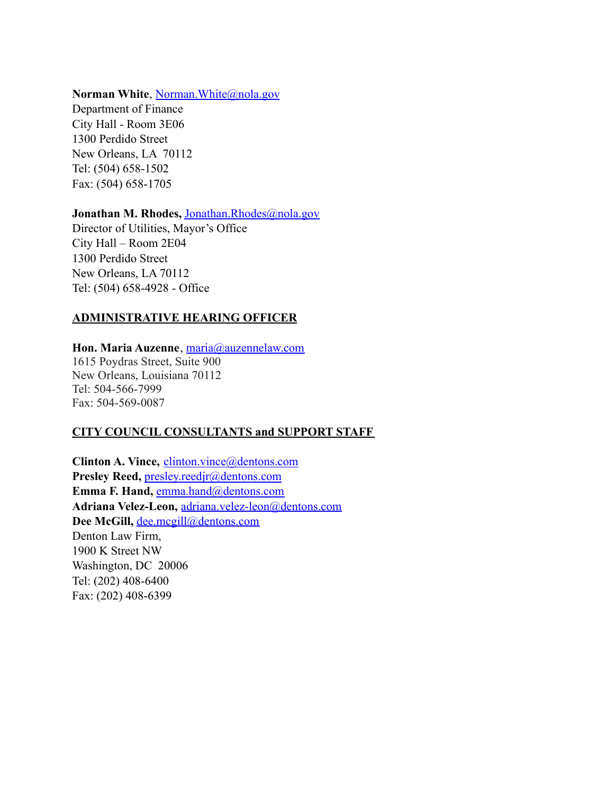## Norman White, Norman. White@nola.gov

Department of Finance City Hall - Room 3E06 1300 Perdido Street New Orleans, LA 70112 Tel: (504) 658-1502 Fax: (504) 658-1705

## Jonathan M. Rhodes, Jonathan.Rhodes@nola.gov

Director of Utilities, Mayor's Office City Hall – Room 2E04 1300 Perdido Street New Orleans, LA 70112 Tel: (504) 658-4928 - Office

# **ADMINISTRATIVE HEARING OFFICER**

**Hon. Maria Auzenne**, maria@auzennelaw.com 1615 Poydras Street, Suite 900 New Orleans, Louisiana 70112 Tel: 504-566-7999 Fax: 504-569-0087

# **CITY COUNCIL CONSULTANTS and SUPPORT STAFF**

**Clinton A. Vince,** clinton.vince@dentons.com **Presley Reed,** presley.reedjr@dentons.com **Emma F. Hand, emma.hand@dentons.com Adriana Velez-Leon,** adriana.velez-leon@dentons.com **Dee McGill,** dee.mcgill@dentons.com Denton Law Firm, 1900 K Street NW Washington, DC 20006 Tel: (202) 408-6400 Fax: (202) 408-6399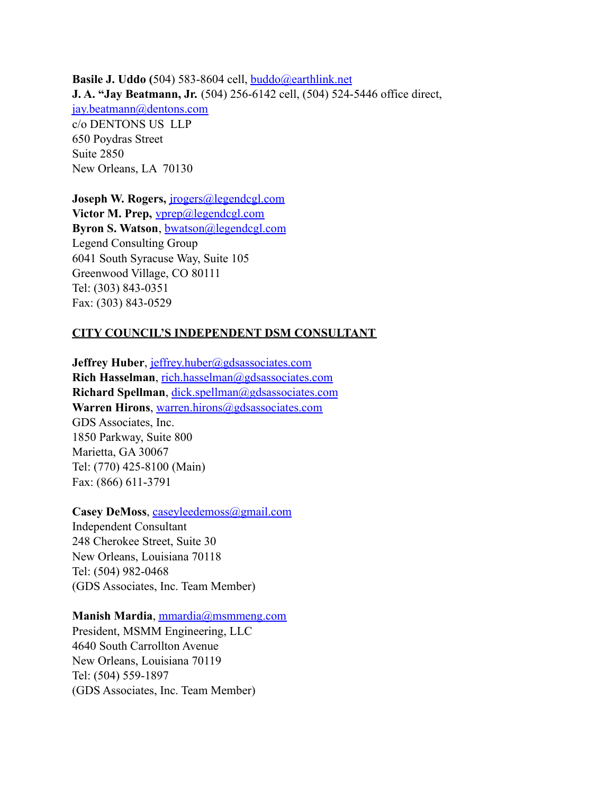**Basile J. Uddo (**504) 583-8604 cell, buddo@earthlink.net **J. A. "Jay Beatmann, Jr.** (504) 256-6142 cell, (504) 524-5446 office direct, jay.beatmann@dentons.com c/o DENTONS US LLP 650 Poydras Street Suite 2850 New Orleans, LA 70130

**Joseph W. Rogers,** jrogers@legendcgl.com **Victor M. Prep,** vprep@legendcgl.com **Byron S. Watson**, bwatson@legendcgl.com Legend Consulting Group 6041 South Syracuse Way, Suite 105 Greenwood Village, CO 80111 Tel: (303) 843-0351 Fax: (303) 843-0529

#### **CITY COUNCIL'S INDEPENDENT DSM CONSULTANT**

**Jeffrey Huber**, jeffrey.huber@gdsassociates.com **Rich Hasselman**, rich.hasselman@gdsassociates.com **Richard Spellman**, dick.spellman@gdsassociates.com Warren Hirons, warren.hirons@gdsassociates.com GDS Associates, Inc. 1850 Parkway, Suite 800 Marietta, GA 30067 Tel: (770) 425-8100 (Main) Fax: (866) 611-3791

## Casey DeMoss, caseyleedemoss@gmail.com

Independent Consultant 248 Cherokee Street, Suite 30 New Orleans, Louisiana 70118 Tel: (504) 982-0468 (GDS Associates, Inc. Team Member)

#### **Manish Mardia**, mmardia@msmmeng.com

President, MSMM Engineering, LLC 4640 South Carrollton Avenue New Orleans, Louisiana 70119 Tel: (504) 559-1897 (GDS Associates, Inc. Team Member)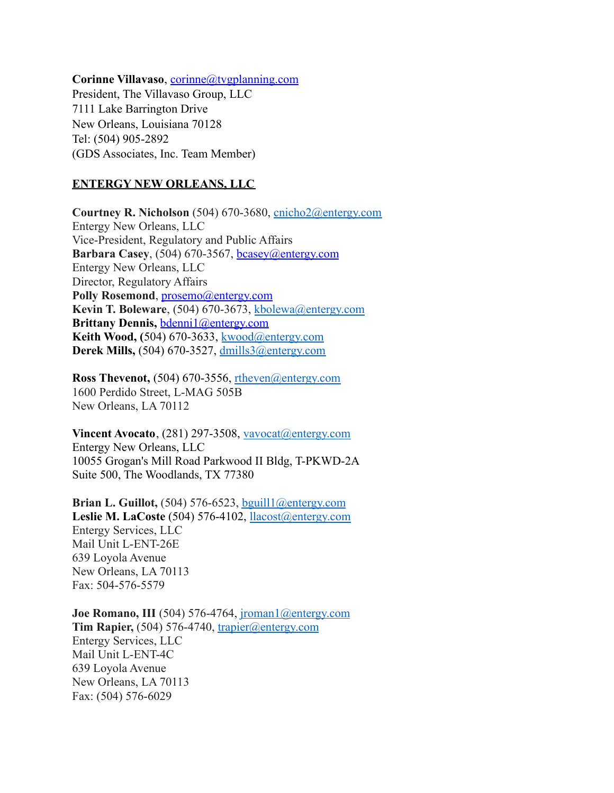Corinne Villavaso, corinne@tvgplanning.com

President, The Villavaso Group, LLC 7111 Lake Barrington Drive New Orleans, Louisiana 70128 Tel: (504) 905-2892 (GDS Associates, Inc. Team Member)

#### **ENTERGY NEW ORLEANS, LLC**

**Courtney R. Nicholson** (504) 670-3680, cnicho2@entergy.com Entergy New Orleans, LLC Vice-President, Regulatory and Public Affairs **Barbara Casey**, (504) 670-3567, bcasey@entergy.com Entergy New Orleans, LLC Director, Regulatory Affairs Polly Rosemond, prosemo@entergy.com **Kevin T. Boleware**, (504) 670-3673, kbolewa@entergy.com **Brittany Dennis,** bdenni1@entergy.com **Keith Wood, (**504) 670-3633, kwood@entergy.com **Derek Mills,** (504) 670-3527, dmills3@entergy.com

**Ross Thevenot,** (504) 670-3556, rtheven@entergy.com 1600 Perdido Street, L-MAG 505B New Orleans, LA 70112

**Vincent Avocato**, (281) 297-3508, vavocat@entergy.com Entergy New Orleans, LLC 10055 Grogan's Mill Road Parkwood II Bldg, T-PKWD-2A Suite 500, The Woodlands, TX 77380

**Brian L. Guillot,** (504) 576-6523, bguill1@entergy.com **Leslie M. LaCoste** (504) 576-4102, llacost@entergy.com Entergy Services, LLC Mail Unit L-ENT-26E 639 Loyola Avenue New Orleans, LA 70113 Fax: 504-576-5579

**Joe Romano, III** (504) 576-4764, *jroman1@entergy.com* **Tim Rapier,** (504) 576-4740, trapier@entergy.com Entergy Services, LLC Mail Unit L-ENT-4C 639 Loyola Avenue New Orleans, LA 70113 Fax: (504) 576-6029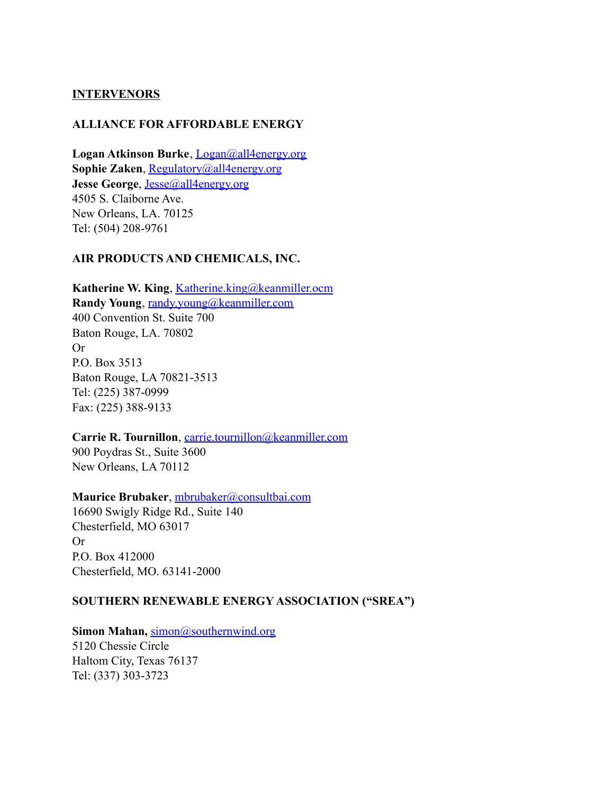## **INTERVENORS**

## **ALLIANCE FOR AFFORDABLE ENERGY**

**Logan Atkinson Burke**, Logan@all4energy.org **Sophie Zaken**, Regulatory@all4energy.org **Jesse George**, Jesse@all4energy.org 4505 S. Claiborne Ave. New Orleans, LA. 70125 Tel: (504) 208-9761

## **AIR PRODUCTS AND CHEMICALS, INC.**

**Katherine W. King**, Katherine.king@keanmiller.ocm **Randy Young**, randy.young@keanmiller.com 400 Convention St. Suite 700 Baton Rouge, LA. 70802 Or P.O. Box 3513 Baton Rouge, LA 70821-3513 Tel: (225) 387-0999 Fax: (225) 388-9133

## **Carrie R. Tournillon**, carrie.tournillon@keanmiller.com

900 Poydras St., Suite 3600 New Orleans, LA 70112

#### **Maurice Brubaker**, mbrubaker@consultbai.com

16690 Swigly Ridge Rd., Suite 140 Chesterfield, MO 63017 Or P.O. Box 412000 Chesterfield, MO. 63141-2000

## **SOUTHERN RENEWABLE ENERGY ASSOCIATION ("SREA")**

## **Simon Mahan,** simon@southernwind.org

5120 Chessie Circle Haltom City, Texas 76137 Tel: (337) 303-3723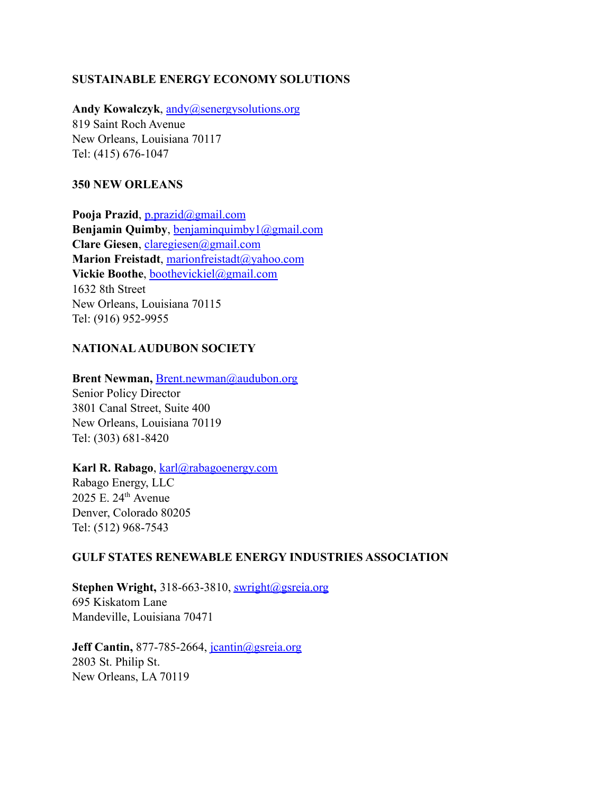## **SUSTAINABLE ENERGY ECONOMY SOLUTIONS**

Andy Kowalczyk, andy@senergysolutions.org

819 Saint Roch Avenue New Orleans, Louisiana 70117 Tel: (415) 676-1047

## **350 NEW ORLEANS**

**Pooja Prazid**, p.prazid@gmail.com **Benjamin Quimby**, benjaminquimby1@gmail.com **Clare Giesen**, claregiesen@gmail.com **Marion Freistadt**, marionfreistadt@yahoo.com **Vickie Boothe**, boothevickiel@gmail.com 1632 8th Street New Orleans, Louisiana 70115 Tel: (916) 952-9955

# **NATIONALAUDUBON SOCIETY**

**Brent Newman, Brent.newman@audubon.org** Senior Policy Director 3801 Canal Street, Suite 400 New Orleans, Louisiana 70119 Tel: (303) 681-8420

### **Karl R. Rabago**, karl@rabagoenergy.com

Rabago Energy, LLC 2025 E. 24th Avenue Denver, Colorado 80205 Tel: (512) 968-7543

## **GULF STATES RENEWABLE ENERGY INDUSTRIES ASSOCIATION**

Stephen Wright, 318-663-3810, swright@gsreia.org 695 Kiskatom Lane Mandeville, Louisiana 70471

**Jeff Cantin,** 877-785-2664, jcantin@gsreia.org 2803 St. Philip St. New Orleans, LA 70119